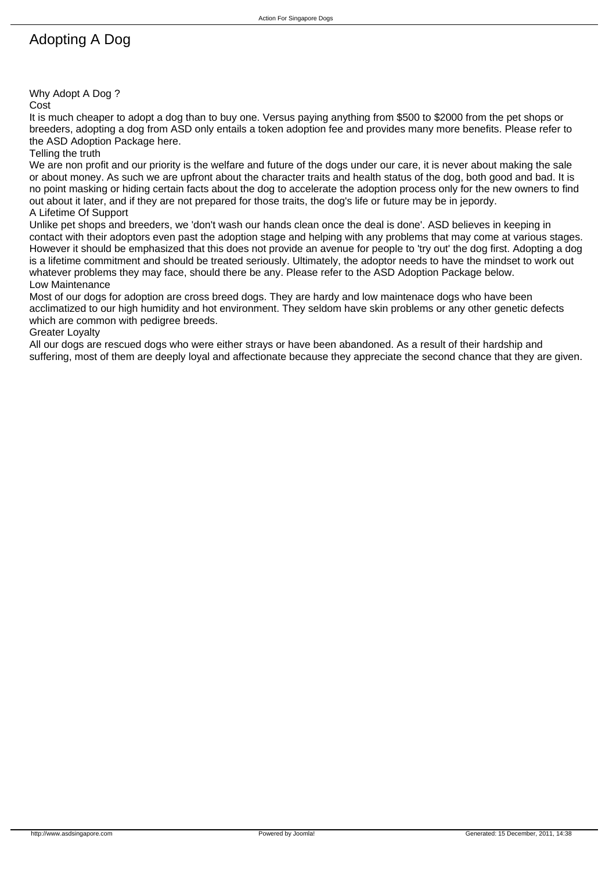# Adopting A Dog

Why Adopt A Dog ?

Cost

It is much cheaper to adopt a dog than to buy one. Versus paying anything from \$500 to \$2000 from the pet shops or breeders, adopting a dog from ASD only entails a token adoption fee and provides many more benefits. Please refer to the ASD Adoption Package here.

#### Telling the truth

We are non profit and our priority is the welfare and future of the dogs under our care, it is never about making the sale or about money. As such we are upfront about the character traits and health status of the dog, both good and bad. It is no point masking or hiding certain facts about the dog to accelerate the adoption process only for the new owners to find out about it later, and if they are not prepared for those traits, the dog's life or future may be in jepordy.

### A Lifetime Of Support

Unlike pet shops and breeders, we 'don't wash our hands clean once the deal is done'. ASD believes in keeping in contact with their adoptors even past the adoption stage and helping with any problems that may come at various stages. However it should be emphasized that this does not provide an avenue for people to 'try out' the dog first. Adopting a dog is a lifetime commitment and should be treated seriously. Ultimately, the adoptor needs to have the mindset to work out whatever problems they may face, should there be any. Please refer to the ASD Adoption Package below. Low Maintenance

Most of our dogs for adoption are cross breed dogs. They are hardy and low maintenace dogs who have been acclimatized to our high humidity and hot environment. They seldom have skin problems or any other genetic defects which are common with pedigree breeds.

Greater Loyalty

All our dogs are rescued dogs who were either strays or have been abandoned. As a result of their hardship and suffering, most of them are deeply loyal and affectionate because they appreciate the second chance that they are given.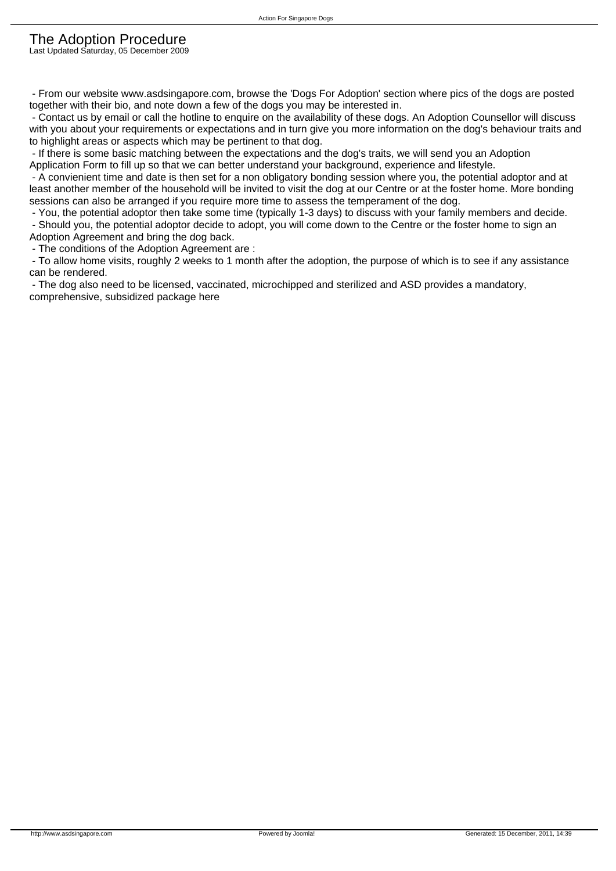#### The Adoption Procedure Last Updated Saturday, 05 December 2009

 - From our website www.asdsingapore.com, browse the 'Dogs For Adoption' section where pics of the dogs are posted together with their bio, and note down a few of the dogs you may be interested in.

 - Contact us by email or call the hotline to enquire on the availability of these dogs. An Adoption Counsellor will discuss with you about your requirements or expectations and in turn give you more information on the dog's behaviour traits and to highlight areas or aspects which may be pertinent to that dog.

 - If there is some basic matching between the expectations and the dog's traits, we will send you an Adoption Application Form to fill up so that we can better understand your background, experience and lifestyle.

 - A convienient time and date is then set for a non obligatory bonding session where you, the potential adoptor and at least another member of the household will be invited to visit the dog at our Centre or at the foster home. More bonding sessions can also be arranged if you require more time to assess the temperament of the dog.

- You, the potential adoptor then take some time (typically 1-3 days) to discuss with your family members and decide.

 - Should you, the potential adoptor decide to adopt, you will come down to the Centre or the foster home to sign an Adoption Agreement and bring the dog back.

- The conditions of the Adoption Agreement are :

 - To allow home visits, roughly 2 weeks to 1 month after the adoption, the purpose of which is to see if any assistance can be rendered.

 - The dog also need to be licensed, vaccinated, microchipped and sterilized and ASD provides a mandatory, comprehensive, subsidized package here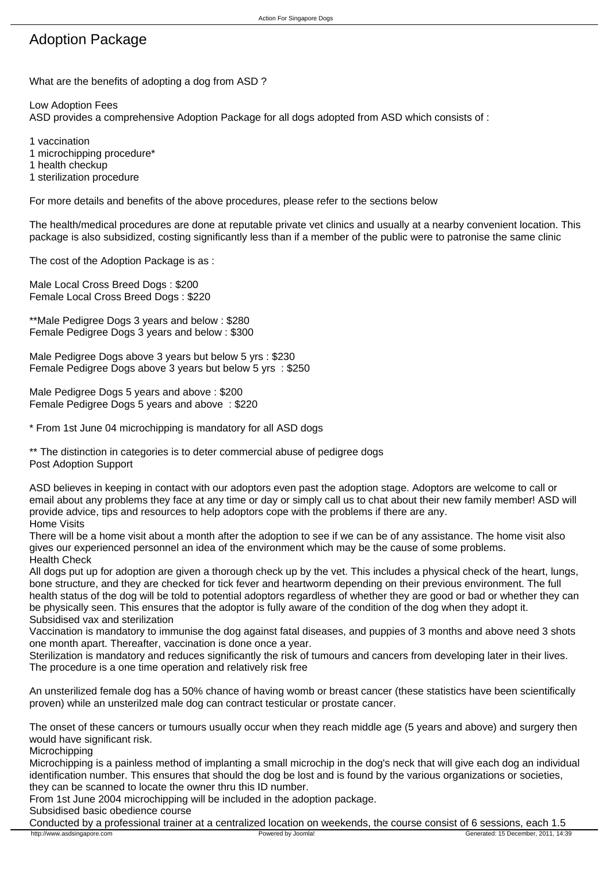#### Action For Singapore Dogs

## Adoption Package

What are the benefits of adopting a dog from ASD ?

Low Adoption Fees

ASD provides a comprehensive Adoption Package for all dogs adopted from ASD which consists of :

1 vaccination

1 microchipping procedure\*

1 health checkup

1 sterilization procedure

For more details and benefits of the above procedures, please refer to the sections below

The health/medical procedures are done at reputable private vet clinics and usually at a nearby convenient location. This package is also subsidized, costing significantly less than if a member of the public were to patronise the same clinic

The cost of the Adoption Package is as :

Male Local Cross Breed Dogs : \$200 Female Local Cross Breed Dogs : \$220

\*\*Male Pedigree Dogs 3 years and below : \$280 Female Pedigree Dogs 3 years and below : \$300

Male Pedigree Dogs above 3 years but below 5 yrs : \$230 Female Pedigree Dogs above 3 years but below 5 yrs : \$250

Male Pedigree Dogs 5 years and above : \$200 Female Pedigree Dogs 5 years and above : \$220

\* From 1st June 04 microchipping is mandatory for all ASD dogs

\*\* The distinction in categories is to deter commercial abuse of pedigree dogs Post Adoption Support

ASD believes in keeping in contact with our adoptors even past the adoption stage. Adoptors are welcome to call or email about any problems they face at any time or day or simply call us to chat about their new family member! ASD will provide advice, tips and resources to help adoptors cope with the problems if there are any. Home Visits

There will be a home visit about a month after the adoption to see if we can be of any assistance. The home visit also gives our experienced personnel an idea of the environment which may be the cause of some problems. Health Check

All dogs put up for adoption are given a thorough check up by the vet. This includes a physical check of the heart, lungs, bone structure, and they are checked for tick fever and heartworm depending on their previous environment. The full health status of the dog will be told to potential adoptors regardless of whether they are good or bad or whether they can be physically seen. This ensures that the adoptor is fully aware of the condition of the dog when they adopt it. Subsidised vax and sterilization

Vaccination is mandatory to immunise the dog against fatal diseases, and puppies of 3 months and above need 3 shots one month apart. Thereafter, vaccination is done once a year.

Sterilization is mandatory and reduces significantly the risk of tumours and cancers from developing later in their lives. The procedure is a one time operation and relatively risk free

An unsterilized female dog has a 50% chance of having womb or breast cancer (these statistics have been scientifically proven) while an unsterilzed male dog can contract testicular or prostate cancer.

The onset of these cancers or tumours usually occur when they reach middle age (5 years and above) and surgery then would have significant risk.

**Microchipping** 

Microchipping is a painless method of implanting a small microchip in the dog's neck that will give each dog an individual identification number. This ensures that should the dog be lost and is found by the various organizations or societies, they can be scanned to locate the owner thru this ID number.

From 1st June 2004 microchipping will be included in the adoption package.

Subsidised basic obedience course

Conducted by a professional trainer at a centralized location on weekends, the course consist of 6 sessions, each 1.5<br>
Nutright and the course of the consist of 6 sessions, each 1.5<br>
Generated: 15 December, 2011, 14:3